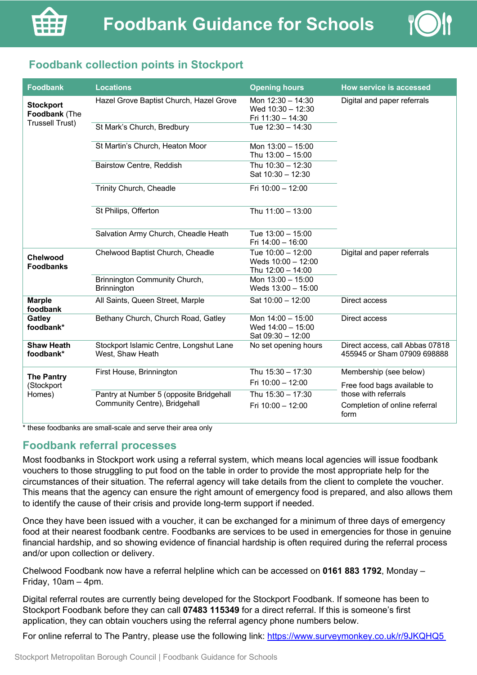

# **Foodbank collection points in Stockport**

| <b>Foodbank</b>                                             | <b>Locations</b>                                                         | <b>Opening hours</b>                                           | <b>How service is accessed</b>                                 |
|-------------------------------------------------------------|--------------------------------------------------------------------------|----------------------------------------------------------------|----------------------------------------------------------------|
| <b>Stockport</b><br>Foodbank (The<br><b>Trussell Trust)</b> | Hazel Grove Baptist Church, Hazel Grove                                  | Mon 12:30 - 14:30<br>Wed $10:30 - 12:30$<br>Fri 11:30 - 14:30  | Digital and paper referrals                                    |
|                                                             | St Mark's Church, Bredbury                                               | Tue 12:30 - 14:30                                              |                                                                |
|                                                             | St Martin's Church, Heaton Moor                                          | Mon 13:00 - 15:00<br>Thu 13:00 - 15:00                         |                                                                |
|                                                             | Bairstow Centre, Reddish                                                 | Thu 10:30 - 12:30<br>Sat 10:30 - 12:30                         |                                                                |
|                                                             | Trinity Church, Cheadle                                                  | Fri 10:00 - 12:00                                              |                                                                |
|                                                             | St Philips, Offerton                                                     | Thu 11:00 - 13:00                                              |                                                                |
|                                                             | Salvation Army Church, Cheadle Heath                                     | Tue 13:00 - 15:00<br>Fri 14:00 - 16:00                         |                                                                |
| Chelwood<br><b>Foodbanks</b>                                | Chelwood Baptist Church, Cheadle                                         | Tue 10:00 - 12:00<br>Weds $10:00 - 12:00$<br>Thu 12:00 - 14:00 | Digital and paper referrals                                    |
|                                                             | Brinnington Community Church,<br>Brinnington                             | Mon 13:00 - 15:00<br>Weds 13:00 - 15:00                        |                                                                |
| <b>Marple</b><br>foodbank                                   | All Saints, Queen Street, Marple                                         | Sat 10:00 - 12:00                                              | Direct access                                                  |
| Gatley<br>foodbank*                                         | Bethany Church, Church Road, Gatley                                      | Mon 14:00 - 15:00<br>Wed $14:00 - 15:00$<br>Sat 09:30 - 12:00  | Direct access                                                  |
| <b>Shaw Heath</b><br>foodbank*                              | Stockport Islamic Centre, Longshut Lane<br>West, Shaw Heath              | No set opening hours                                           | Direct access, call Abbas 07818<br>455945 or Sham 07909 698888 |
| <b>The Pantry</b><br>(Stockport<br>Homes)                   | First House, Brinnington                                                 | Thu 15:30 - 17:30                                              | Membership (see below)                                         |
|                                                             |                                                                          | Fri 10:00 - 12:00                                              | Free food bags available to                                    |
|                                                             | Pantry at Number 5 (opposite Bridgehall<br>Community Centre), Bridgehall | Thu 15:30 - 17:30                                              | those with referrals<br>Completion of online referral<br>form  |
|                                                             |                                                                          | Fri 10:00 - 12:00                                              |                                                                |

\* these foodbanks are small-scale and serve their area only

### **Foodbank referral processes**

Most foodbanks in Stockport work using a referral system, which means local agencies will issue foodbank vouchers to those struggling to put food on the table in order to provide the most appropriate help for the circumstances of their situation. The referral agency will take details from the client to complete the voucher. This means that the agency can ensure the right amount of emergency food is prepared, and also allows them to identify the cause of their crisis and provide long-term support if needed.

Once they have been issued with a voucher, it can be exchanged for a minimum of three days of emergency food at their nearest foodbank centre. Foodbanks are services to be used in emergencies for those in genuine financial hardship, and so showing evidence of financial hardship is often required during the referral process and/or upon collection or delivery.

Chelwood Foodbank now have a referral helpline which can be accessed on **0161 883 1792**, Monday – Friday, 10am – 4pm.

Digital referral routes are currently being developed for the Stockport Foodbank. If someone has been to Stockport Foodbank before they can call **07483 115349** for a direct referral. If this is someone's first application, they can obtain vouchers using the referral agency phone numbers below.

For online referral to The Pantry, please use the following link: https://www.surveymonkey.co.uk/r/9JKQHQ5